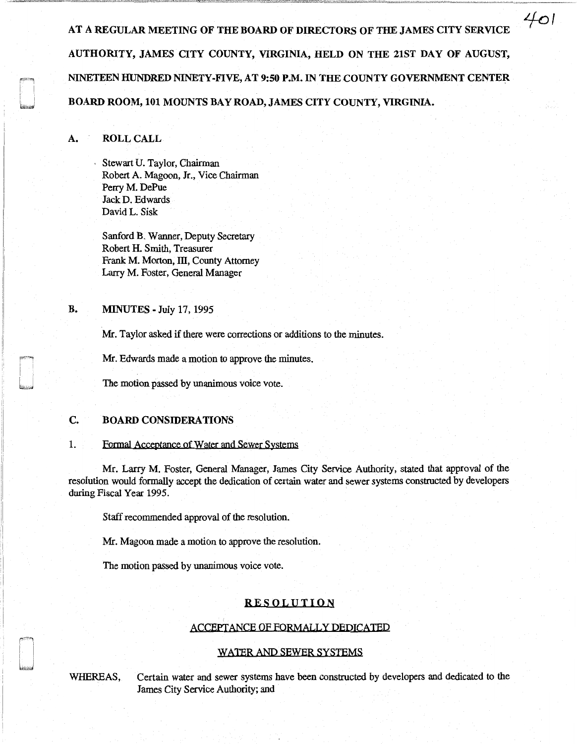AT A REGULAR MEETING OF THE BOARD OF DIRECTORS OF THE JAMES CITY SERVICE AUTHORITY, JAMES CITY COUNTY, VIRGINIA, HELD ON THE 21ST DAY OF AUGUST, NINETEEN HUNDRED NINETY-FIVE, AT 9:50 P.M. IN THE COUNTY GOVERNMENT CENTER BOARD ROOM, 101 MOUNTS BAY ROAD, JAMES CITY COUNTY, VIRGINIA.

*Lfo!* 

## A. ROLL CALL

Stewart U. Taylor, Chairman Robert A. Magoon, Jr., Vice Chairman Perry M. DePue JackD. Edwards David L. Sisk

Sanford B. Wanner, Deputy Secretary Robert H. Smith, Treasurer Frank M. Morton, III, County Attorney Larry M. Foster, General Manager

# **B. MINUTES - July 17, 1995**

Mr. Taylor asked if there were corrections or additions to the minutes.

Mr. Edwards made a motion to approve the minutes.

The motion passed by unanimous voice vote.

# C. BOARD CONSIDERATIONS

### 1. Formal Acceptance of Water and Sewer Systems

Mr. Larry M. Foster, General Manager, James City Service Authority, stated that approval of the resolution would formally accept the dedication of certain water and sewer systems constructed by developers during Fiscal Year 1995.

Staff recommended approval of the resolution.

Mr. Magoon made a motion to approve the resolution.

The motion passed by unanimous voice vote.

# RESOLUTION

#### ACCEPTANCE OF FORMALLY DEDICATED

#### WATER AND SEWER SYSTEMS

WHEREAS, Certain water and sewer systems have been constructed by developers and dedicated to the James City Service Authority; and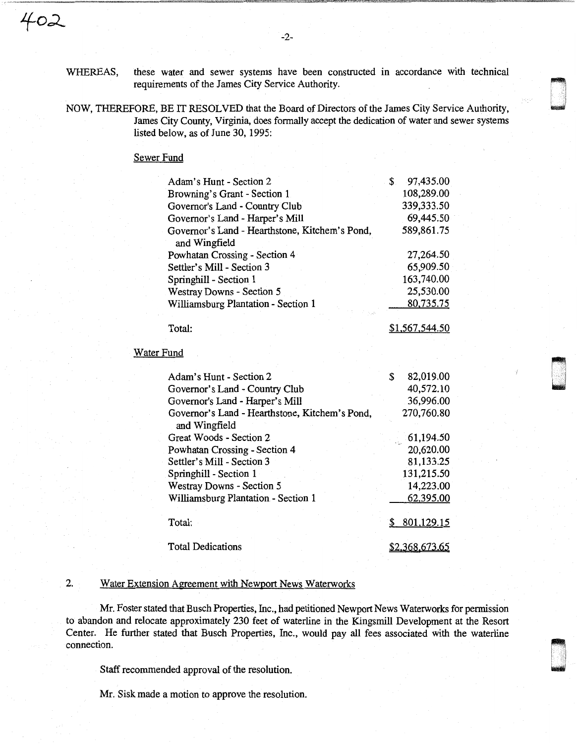WHEREAS, these water and sewer systems have been constructed in accordance with technical requirements of the James City Service Authority.

-2-

NOW, THEREFORE, BE IT RESOLVED that the Board of Directors of the James City Service Authority, James City County, Virginia, does formally accept the dedication of water and sewer systems listed below, as of June 30, 1995:

## Sewer Fund

| Adam's Hunt - Section 2                                         | \$<br>97,435.00  |
|-----------------------------------------------------------------|------------------|
| Browning's Grant - Section 1                                    | 108,289.00       |
| Governor's Land - Country Club                                  | 339,333.50       |
| Governor's Land - Harper's Mill                                 | 69,445.50        |
| Governor's Land - Hearthstone, Kitchem's Pond,<br>and Wingfield | 589,861.75       |
| Powhatan Crossing - Section 4                                   | 27,264.50        |
| Settler's Mill - Section 3                                      | 65,909.50        |
| Springhill - Section 1                                          | 163,740.00       |
| Westray Downs - Section 5                                       | 25,530.00        |
| Williamsburg Plantation - Section 1                             | 80,735.75        |
|                                                                 |                  |
| Total:                                                          | \$1,567,544.50   |
| <b>Water Fund</b>                                               |                  |
| Adam's Hunt - Section 2                                         | \$<br>82,019.00  |
| Governor's Land - Country Club                                  | 40,572.10        |
| Governor's Land - Harper's Mill                                 | 36,996.00        |
| Governor's Land - Hearthstone, Kitchem's Pond,<br>and Wingfield | 270,760.80       |
| Great Woods - Section 2                                         | 61,194.50        |
| Powhatan Crossing - Section 4                                   | 20,620.00        |
| Settler's Mill - Section 3                                      | 81,133.25        |
| Springhill - Section 1                                          | 131,215.50       |
| Westray Downs - Section 5                                       | 14,223.00        |
| Williamsburg Plantation - Section 1                             | 62,395.00        |
| Total:                                                          | \$<br>801,129.15 |

Total Dedications

### 2. Water Extension Agreement with Newport News Waterworks

Mr. Foster stated that Busch Properties, Inc., had petitioned Newport News Waterworks for permission to abandon and relocate approximately 230 feet of waterline in the Kingsmill Development at the Resort Center. He further stated that Busch Properties, Inc., would pay all fees associated with the waterline connection.

\$2,368,613.65

Staff recommended approval of the resolution.

Mr. Sisk made a motion to approve the resolution.

<sup>~</sup>i I u